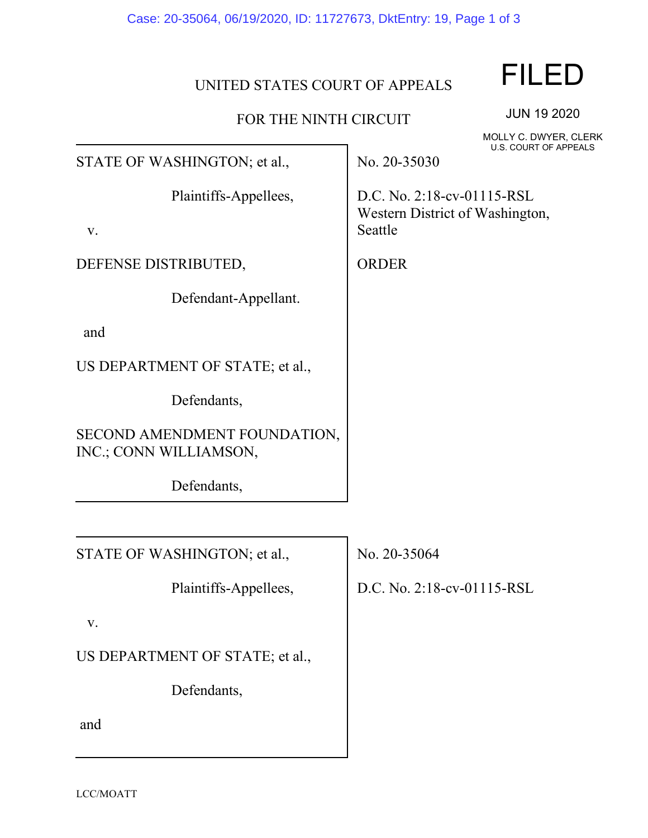## UNITED STATES COURT OF APPEALS

## FOR THE NINTH CIRCUIT

JUN 19 2020 MOLLY C. DWYER, CLERK U.S. COURT OF APPEALS

FILED

STATE OF WASHINGTON; et al.,

Plaintiffs-Appellees,

v.

DEFENSE DISTRIBUTED,

Defendant-Appellant.

and

US DEPARTMENT OF STATE; et al.,

Defendants,

SECOND AMENDMENT FOUNDATION, INC.; CONN WILLIAMSON,

Defendants,

STATE OF WASHINGTON; et al.,

Plaintiffs-Appellees,

v.

US DEPARTMENT OF STATE; et al.,

Defendants,

and

No. 20-35030

D.C. No. 2:18-cv-01115-RSL Western District of Washington, Seattle

ORDER

No. 20-35064

D.C. No. 2:18-cv-01115-RSL

LCC/MOATT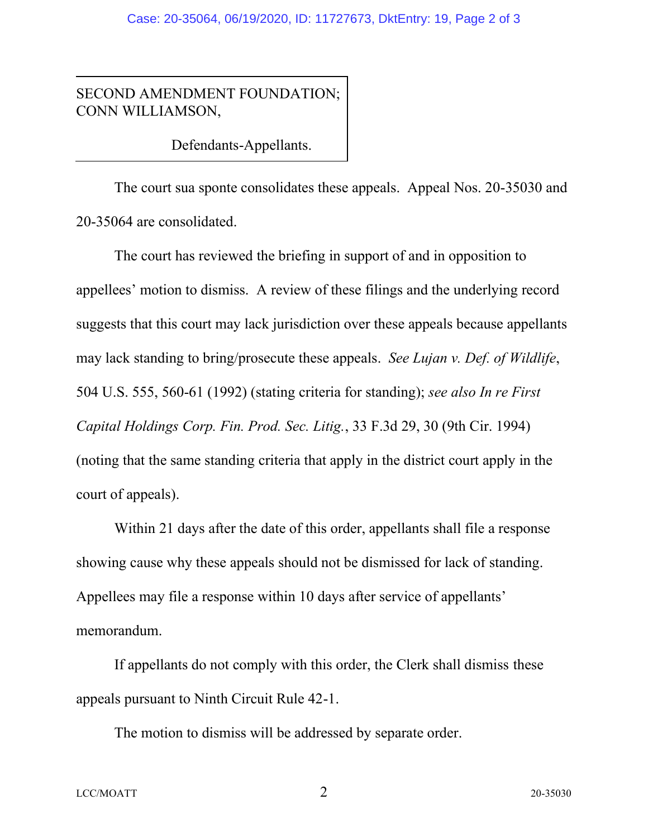SECOND AMENDMENT FOUNDATION; CONN WILLIAMSON,

Defendants-Appellants.

The court sua sponte consolidates these appeals. Appeal Nos. 20-35030 and 20-35064 are consolidated.

The court has reviewed the briefing in support of and in opposition to appellees' motion to dismiss. A review of these filings and the underlying record suggests that this court may lack jurisdiction over these appeals because appellants may lack standing to bring/prosecute these appeals. *See Lujan v. Def. of Wildlife*, 504 U.S. 555, 560-61 (1992) (stating criteria for standing); *see also In re First Capital Holdings Corp. Fin. Prod. Sec. Litig.*, 33 F.3d 29, 30 (9th Cir. 1994) (noting that the same standing criteria that apply in the district court apply in the court of appeals).

Within 21 days after the date of this order, appellants shall file a response showing cause why these appeals should not be dismissed for lack of standing. Appellees may file a response within 10 days after service of appellants' memorandum.

If appellants do not comply with this order, the Clerk shall dismiss these appeals pursuant to Ninth Circuit Rule 42-1.

The motion to dismiss will be addressed by separate order.